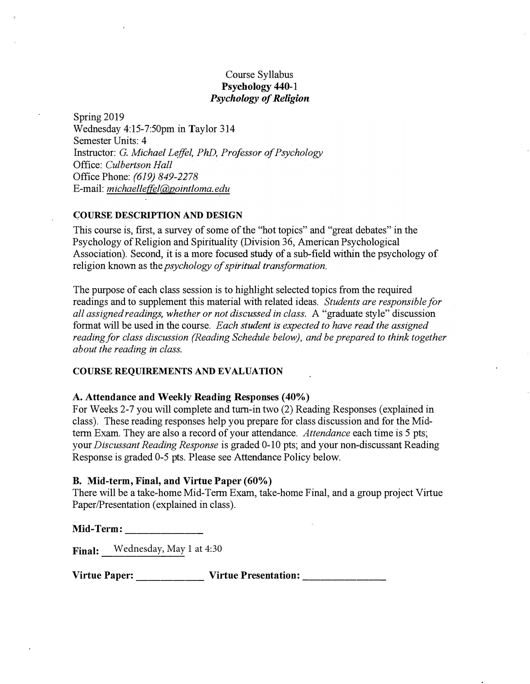# Course Syllabus Psychology 440-1 *Psychology of Religion*

Spring 2019 Wednesday 4:15-7:50pm in Taylor 314 Semester Units: 4 Instructor: G. *Michael Leffel, PhD, Professor of Psychology*  Office: *Culbertson Hall*  Office Phone: *(619) 849-2278*  E-mail: *michaelleffel@pointloma.edu*

## **COURSE DESCRIPTION AND DESIGN**

This course is, first, a survey of some of the "hot topics" and "great debates" in the Psychology of Religion and Spirituality (Division 36, American Psychological Association). Second, it is a more focused study of a sub-field within the psychology of religion known as the *psychology of spiritual transformation.* 

The purpose of each class session is to highlight selected topics from the required readings and to supplement this material with related ideas. *Students are responsible for all assigned readings, whether or not discussed in class.* A "graduate style" discussion format will be used in the course. *Each student is expected to have read the assigned reading.for class discussion (Reading Schedule below), and be prepared to think together about the reading in class.* 

## **COURSE REQUIREMENTS AND EVALUATION**

## A. Attendance and Weekly Reading Responses (40%)

For Weeks 2-7 you will complete and turn-in two (2) Reading Responses (explained in class). These reading responses help you prepare for class discussion and for the Midterm Exam. They are also a record of your attendance. *Attendance* each time is 5 pts; your *Discussant Reading Response* is graded 0-10 pts; and your non-discussant Reading Response is graded 0-5 pts. Please see Attendance Policy below.

## B. Mid-term, Final, and Virtue Paper (60%)

There will be a take-home Mid-Term Exam, take-home Final, and a group project Virtue Paper/Presentation (explained in class).

Mid-Term:

**Final:** Wednesday, May 1 at 4:30

Virtue Paper: Virtue Presentation: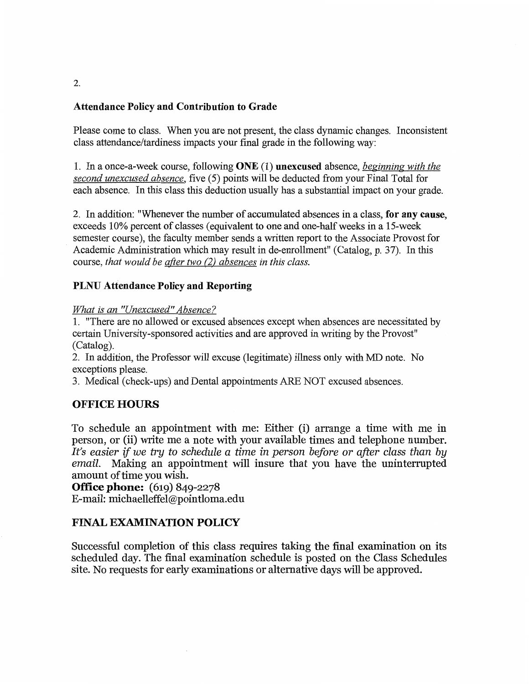## **Attendance Policy and Contribution to Grade**

Please come to class. When you are not present, the class dynamic changes. Inconsistent class attendance/tardiness impacts your final grade in the following way:

1. In a once-a-week course, following ONE (1) unexcused absence, *beginning with the* second unexcused absence, five (5) points will be deducted from your Final Total for each absence. In this class this deduction usually has a substantial impact on your grade.

2. In addition: "Whenever the number of accumulated absences in a class, for any cause, exceeds 10% percent of classes (equivalent to one and one-half weeks in a 15-week semester course), the faculty member sends a written report to the Associate Provost for Academic Administration which may result in de-enrollment" (Catalog, p. 37). In this course, that would be after two (2) absences in this class.

## **PLNU Attendance Policy and Reporting**

#### What is an "Unexcused" Absence?

1. "There are no allowed or excused absences except when absences are necessitated by certain University-sponsored activities and are approved in writing by the Provost"  $(Catalog)$ .

2. In addition, the Professor will excuse (legitimate) illness only with MD note. No exceptions please.

3. Medical (check-ups) and Dental appointments ARE NOT excused absences.

# **OFFICE HOURS**

To schedule an appointment with me: Either (i) arrange a time with me in person, or (ii) write me a note with your available times and telephone number. It's easier if we try to schedule a time in person before or after class than by email. Making an appointment will insure that you have the uninterrupted amount of time you wish.

**Office phone:** (619) 849-2278 E-mail: michaelleffel@pointloma.edu

## **FINAL EXAMINATION POLICY**

Successful completion of this class requires taking the final examination on its scheduled day. The final examination schedule is posted on the Class Schedules site. No requests for early examinations or alternative days will be approved.

 $\overline{2}$ .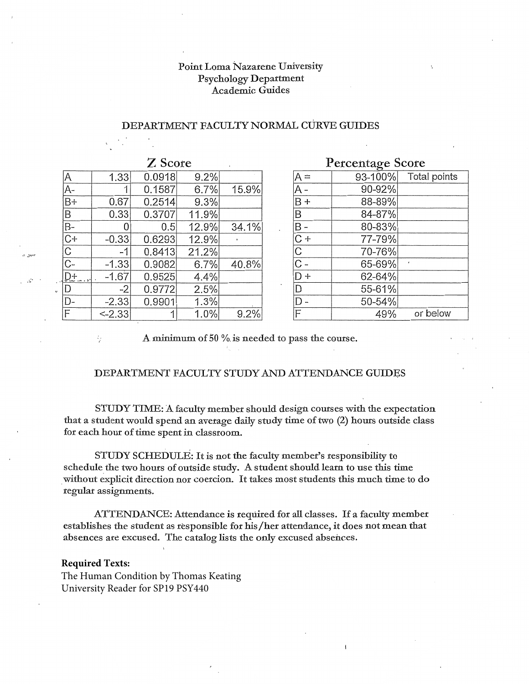#### Point Loma Nazarene University **Psychology Department Academic Guides**

| Z Score       |           |        |       |       |  |
|---------------|-----------|--------|-------|-------|--|
| ላ             | 1.33      | 0.0918 | 9.2%  |       |  |
| 4.            |           | 0.1587 | 6.7%  | 15.9% |  |
| $3+$          | 0.67      | 0.2514 | 9.3%  |       |  |
|               | 0.33      | 0.3707 | 11.9% |       |  |
| $3-$          | 0         | 0.5    | 12.9% | 34.1% |  |
| $G +$         | $-0.33$   | 0.6293 | 12.9% |       |  |
| $\frac{1}{2}$ | -1        | 0.8413 | 21.2% |       |  |
|               | $-1.33$   | 0.9082 | 6.7%  | 40.8% |  |
|               | $-1.67$   | 0.9525 | 4.4%  |       |  |
|               | -2        | 0.9772 | 2.5%  |       |  |
|               | $-2.33$   | 0.9901 | 1.3%  |       |  |
| Ξ             | $< -2.33$ |        | 1.0%  | 9.2%  |  |

#### DEPARTMENT FACULTY NORMAL CURVE GUIDES

| r ercemage Score        |        |                      |  |  |  |
|-------------------------|--------|----------------------|--|--|--|
| $=$ $\overline{A}$      |        | 93-100% Total points |  |  |  |
| Ą                       | 90-92% |                      |  |  |  |
| $\overline{B}$ +        | 88-89% |                      |  |  |  |
| B                       | 84-87% |                      |  |  |  |
| $\overline{\mathsf{B}}$ | 80-83% |                      |  |  |  |
| $\overline{C}$ +        | 77-79% |                      |  |  |  |
| C                       | 70-76% |                      |  |  |  |
| $\overline{\text{C}}$   | 65-69% |                      |  |  |  |
| D+                      | 62-64% |                      |  |  |  |
| D                       | 55-61% |                      |  |  |  |
| D                       | 50-54% |                      |  |  |  |
| F                       | 49%    | or below             |  |  |  |

 $D$ otooptaan Rooto

A minimum of 50 % is needed to pass the course.

#### DEPARTMENT FACULTY STUDY AND ATTENDANCE GUIDES

STUDY TIME: A faculty member should design courses with the expectation that a student would spend an average daily study time of two (2) hours outside class for each hour of time spent in classroom.

STUDY SCHEDULE: It is not the faculty member's responsibility to schedule the two hours of outside study. A student should learn to use this time without explicit direction nor coercion. It takes most students this much time to do regular assignments.

ATTENDANCE: Attendance is required for all classes. If a faculty member establishes the student as responsible for his/her attendance, it does not mean that absences are excused. The catalog lists the only excused absences.

#### **Required Texts:**

÷

The Human Condition by Thomas Keating University Reader for SP19 PSY440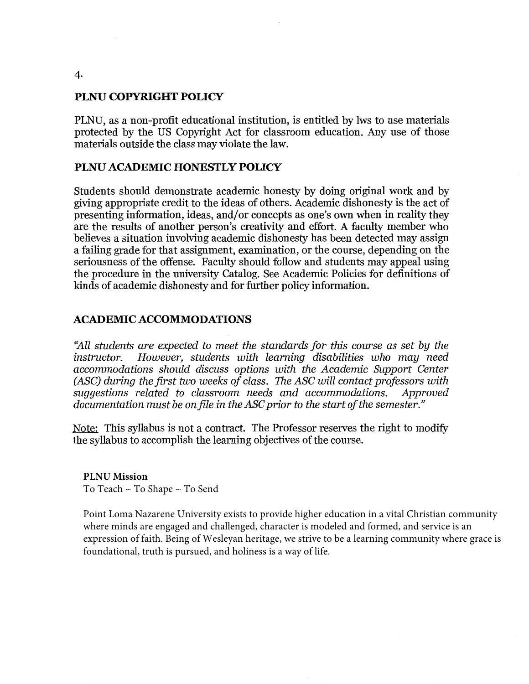# PLNU COPYRIGHT POLICY

PLNU, as a non-profit educational institution, is entitled by lws to use materials protected by the US Copyright Act for classroom education. Any use of those materials outside the class may violate the law.

# PLNU ACADEMIC HONESTLY POLICY

Students should demonstrate academic honesty by doing original work and by giving appropriate credit to the ideas of others. Academic dishonesty is the act of presenting information, ideas, and/or concepts as one's own when in reality they are the results of another person's creativity and effort. A faculty member who believes a situation involving academic dishonesty has been detected may assign a failing grade for that assignment, examination, or the course, depending on the seriousness of the offense. Faculty should follow and students may appeal using the procedure in the university Catalog. See Academic Policies for definitions of kinds of academic dishonesty and for further policy information.

## **ACADEMIC ACCOMMODATIONS**

"All students are expected to meet the standards for this course as set by the However, students with learning disabilities who may need *instructor.* accommodations should discuss options with the Academic Support Center (ASC) during the first two weeks of class. The ASC will contact professors with suggestions related to classroom needs and accommodations. Approved documentation must be on file in the ASC prior to the start of the semester."

Note: This syllabus is not a contract. The Professor reserves the right to modify the syllabus to accomplish the learning objectives of the course.

#### **PLNU Mission**

To Teach ~ To Shape ~ To Send

Point Loma Nazarene University exists to provide higher education in a vital Christian community where minds are engaged and challenged, character is modeled and formed, and service is an expression of faith. Being of Wesleyan heritage, we strive to be a learning community where grace is foundational, truth is pursued, and holiness is a way of life.

4.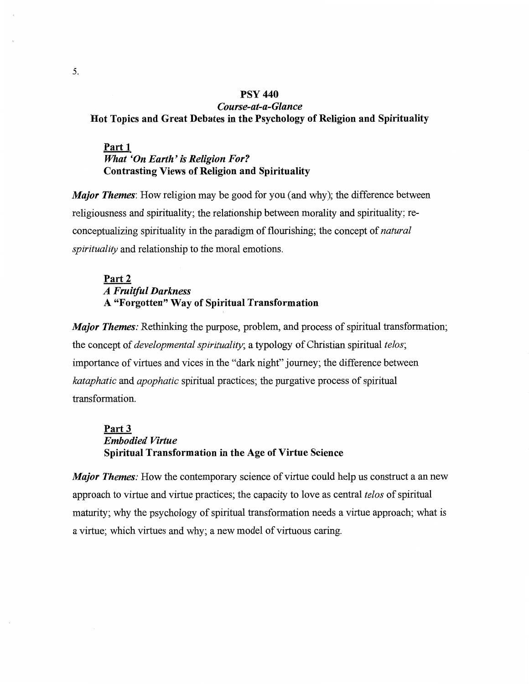## **PSY 440** Course-at-a-Glance Hot Topics and Great Debates in the Psychology of Religion and Spirituality

## Part 1 **What 'On Earth' is Religion For? Contrasting Views of Religion and Spirituality**

**Major Themes:** How religion may be good for you (and why); the difference between religiousness and spirituality; the relationship between morality and spirituality; reconceptualizing spirituality in the paradigm of flourishing; the concept of *natural* spirituality and relationship to the moral emotions.

## Part 2 **A Fruitful Darkness** A "Forgotten" Way of Spiritual Transformation

Major Themes: Rethinking the purpose, problem, and process of spiritual transformation; the concept of *developmental spirituality*; a typology of Christian spiritual *telos*; importance of virtues and vices in the "dark night" journey; the difference between *kataphatic* and *apophatic* spiritual practices; the purgative process of spiritual transformation.

## Part 3 **Embodied Virtue Spiritual Transformation in the Age of Virtue Science**

**Major Themes:** How the contemporary science of virtue could help us construct a an new approach to virtue and virtue practices; the capacity to love as central *telos* of spiritual maturity; why the psychology of spiritual transformation needs a virtue approach; what is a virtue; which virtues and why; a new model of virtuous caring.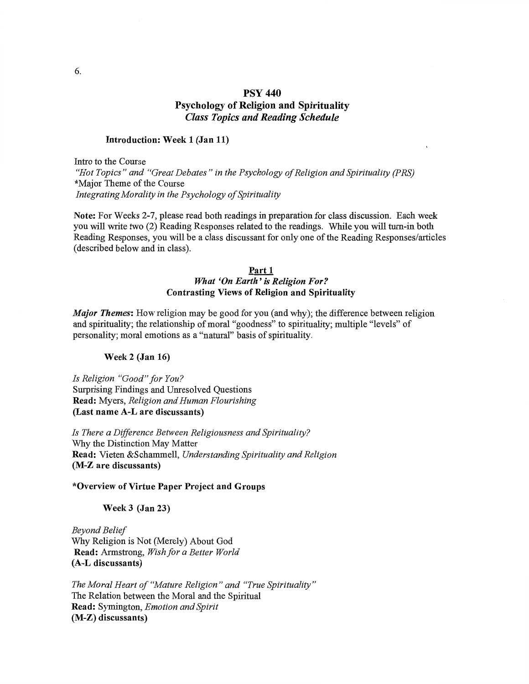## **PSY 440 Psychology of Religion and Spirituality Class Topics and Reading Schedule**

#### Introduction: Week 1 (Jan 11)

Intro to the Course "Hot Topics" and "Great Debates" in the Psychology of Religion and Spirituality (PRS) \*Major Theme of the Course Integrating Morality in the Psychology of Spirituality

Note: For Weeks 2-7, please read both readings in preparation for class discussion. Each week you will write two (2) Reading Responses related to the readings. While you will turn-in both Reading Responses, you will be a class discussant for only one of the Reading Responses/articles (described below and in class).

#### Part 1 What 'On Earth' is Religion For? **Contrasting Views of Religion and Spirituality**

Major Themes: How religion may be good for you (and why); the difference between religion and spirituality; the relationship of moral "goodness" to spirituality; multiple "levels" of personality; moral emotions as a "natural" basis of spirituality.

#### **Week 2 (Jan 16)**

Is Religion "Good" for You? Surprising Findings and Unresolved Questions Read: Myers, Religion and Human Flourishing (Last name A-L are discussants)

Is There a Difference Between Religiousness and Spirituality? Why the Distinction May Matter Read: Vieten &Schammell, Understanding Spirituality and Religion (M-Z are discussants)

#### \*Overview of Virtue Paper Project and Groups

Week 3 (Jan 23)

**Beyond Belief** Why Religion is Not (Merely) About God Read: Armstrong, Wish for a Better World (A-L discussants)

The Moral Heart of "Mature Religion" and "True Spirituality" The Relation between the Moral and the Spiritual Read: Symington, Emotion and Spirit (M-Z) discussants)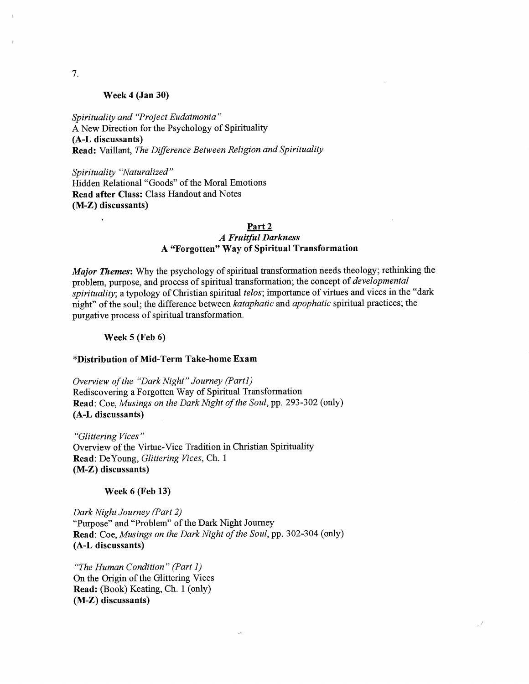Week 4 (Jan 30)

Spirituality and "Project Eudaimonia" A New Direction for the Psychology of Spirituality (A-L discussants) Read: Vaillant, The Difference Between Religion and Spirituality

Spirituality "Naturalized" Hidden Relational "Goods" of the Moral Emotions Read after Class: Class Handout and Notes  $(M-Z)$  discussants)

#### Part 2

#### **A Fruitful Darkness** A "Forgotten" Way of Spiritual Transformation

Major Themes: Why the psychology of spiritual transformation needs theology; rethinking the problem, purpose, and process of spiritual transformation; the concept of developmental spirituality; a typology of Christian spiritual telos; importance of virtues and vices in the "dark night" of the soul; the difference between kataphatic and apophatic spiritual practices; the purgative process of spiritual transformation.

Week 5 (Feb 6)

#### \*Distribution of Mid-Term Take-home Exam

Overview of the "Dark Night" Journey (Part1) Rediscovering a Forgotten Way of Spiritual Transformation Read: Coe, Musings on the Dark Night of the Soul, pp. 293-302 (only) (A-L discussants)

"Glittering Vices" Overview of the Virtue-Vice Tradition in Christian Spirituality Read: De Young, Glittering Vices, Ch. 1  $(M-Z)$  discussants)

**Week 6 (Feb 13)** 

Dark Night Journey (Part 2) "Purpose" and "Problem" of the Dark Night Journey Read: Coe, Musings on the Dark Night of the Soul, pp. 302-304 (only) (A-L discussants)

"The Human Condition" (Part 1) On the Origin of the Glittering Vices Read: (Book) Keating, Ch. 1 (only) (M-Z) discussants)